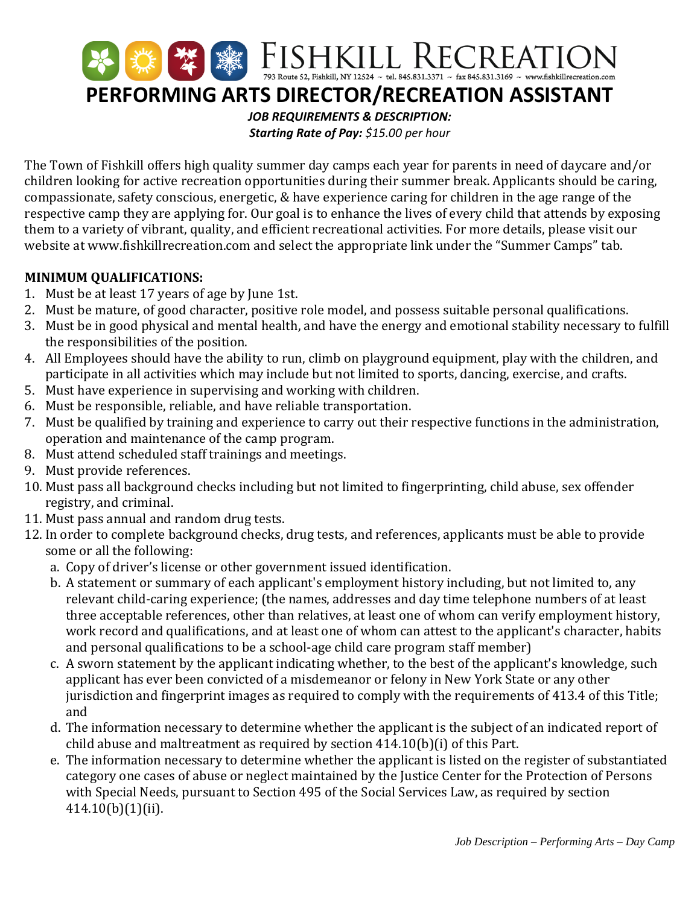

The Town of Fishkill offers high quality summer day camps each year for parents in need of daycare and/or children looking for active recreation opportunities during their summer break. Applicants should be caring, compassionate, safety conscious, energetic, & have experience caring for children in the age range of the respective camp they are applying for. Our goal is to enhance the lives of every child that attends by exposing them to a variety of vibrant, quality, and efficient recreational activities. For more details, please visit our website at www.fishkillrecreation.com and select the appropriate link under the "Summer Camps" tab.

## **MINIMUM QUALIFICATIONS:**

- 1. Must be at least 17 years of age by June 1st.
- 2. Must be mature, of good character, positive role model, and possess suitable personal qualifications.
- 3. Must be in good physical and mental health, and have the energy and emotional stability necessary to fulfill the responsibilities of the position.
- 4. All Employees should have the ability to run, climb on playground equipment, play with the children, and participate in all activities which may include but not limited to sports, dancing, exercise, and crafts.
- 5. Must have experience in supervising and working with children.
- 6. Must be responsible, reliable, and have reliable transportation.
- 7. Must be qualified by training and experience to carry out their respective functions in the administration, operation and maintenance of the camp program.
- 8. Must attend scheduled staff trainings and meetings.
- 9. Must provide references.
- 10. Must pass all background checks including but not limited to fingerprinting, child abuse, sex offender registry, and criminal.
- 11. Must pass annual and random drug tests.
- 12. In order to complete background checks, drug tests, and references, applicants must be able to provide some or all the following:
	- a. Copy of driver's license or other government issued identification.
	- b. A statement or summary of each applicant's employment history including, but not limited to, any relevant child-caring experience; (the names, addresses and day time telephone numbers of at least three acceptable references, other than relatives, at least one of whom can verify employment history, work record and qualifications, and at least one of whom can attest to the applicant's character, habits and personal qualifications to be a school-age child care program staff member)
	- c. A sworn statement by the applicant indicating whether, to the best of the applicant's knowledge, such applicant has ever been convicted of a misdemeanor or felony in New York State or any other jurisdiction and fingerprint images as required to comply with the requirements of 413.4 of this Title; and
	- d. The information necessary to determine whether the applicant is the subject of an indicated report of child abuse and maltreatment as required by section 414.10(b)(i) of this Part.
	- e. The information necessary to determine whether the applicant is listed on the register of substantiated category one cases of abuse or neglect maintained by the Justice Center for the Protection of Persons with Special Needs, pursuant to Section 495 of the Social Services Law, as required by section 414.10(b)(1)(ii).